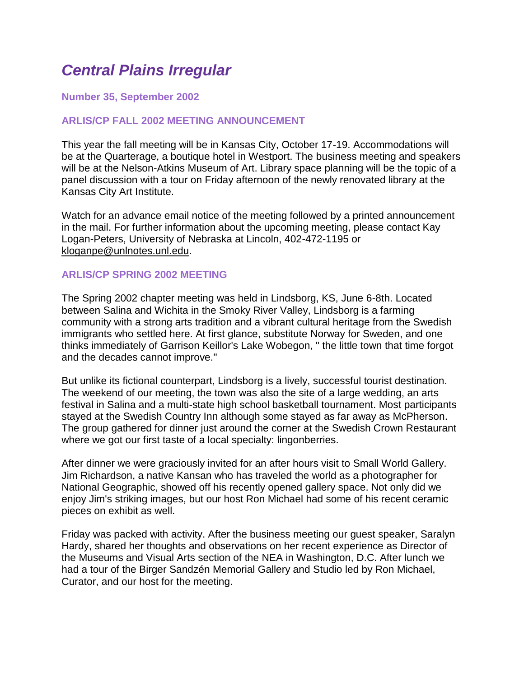# *Central Plains Irregular*

## **Number 35, September 2002**

## **ARLIS/CP FALL 2002 MEETING ANNOUNCEMENT**

This year the fall meeting will be in Kansas City, October 17-19. Accommodations will be at the Quarterage, a boutique hotel in Westport. The business meeting and speakers will be at the Nelson-Atkins Museum of Art. Library space planning will be the topic of a panel discussion with a tour on Friday afternoon of the newly renovated library at the Kansas City Art Institute.

Watch for an advance email notice of the meeting followed by a printed announcement in the mail. For further information about the upcoming meeting, please contact Kay Logan-Peters, University of Nebraska at Lincoln, 402-472-1195 or [kloganpe@unlnotes.unl.edu.](mailto:kloganpe@unlnotes.unl.edu)

## **ARLIS/CP SPRING 2002 MEETING**

The Spring 2002 chapter meeting was held in Lindsborg, KS, June 6-8th. Located between Salina and Wichita in the Smoky River Valley, Lindsborg is a farming community with a strong arts tradition and a vibrant cultural heritage from the Swedish immigrants who settled here. At first glance, substitute Norway for Sweden, and one thinks immediately of Garrison Keillor's Lake Wobegon, " the little town that time forgot and the decades cannot improve."

But unlike its fictional counterpart, Lindsborg is a lively, successful tourist destination. The weekend of our meeting, the town was also the site of a large wedding, an arts festival in Salina and a multi-state high school basketball tournament. Most participants stayed at the Swedish Country Inn although some stayed as far away as McPherson. The group gathered for dinner just around the corner at the Swedish Crown Restaurant where we got our first taste of a local specialty: lingonberries.

After dinner we were graciously invited for an after hours visit to Small World Gallery. Jim Richardson, a native Kansan who has traveled the world as a photographer for National Geographic, showed off his recently opened gallery space. Not only did we enjoy Jim's striking images, but our host Ron Michael had some of his recent ceramic pieces on exhibit as well.

Friday was packed with activity. After the business meeting our guest speaker, Saralyn Hardy, shared her thoughts and observations on her recent experience as Director of the Museums and Visual Arts section of the NEA in Washington, D.C. After lunch we had a tour of the Birger Sandzén Memorial Gallery and Studio led by Ron Michael, Curator, and our host for the meeting.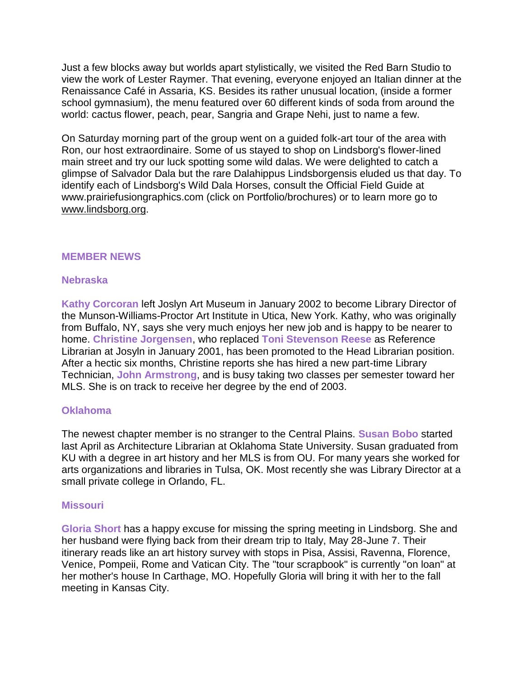Just a few blocks away but worlds apart stylistically, we visited the Red Barn Studio to view the work of Lester Raymer. That evening, everyone enjoyed an Italian dinner at the Renaissance Café in Assaria, KS. Besides its rather unusual location, (inside a former school gymnasium), the menu featured over 60 different kinds of soda from around the world: cactus flower, peach, pear, Sangria and Grape Nehi, just to name a few.

On Saturday morning part of the group went on a guided folk-art tour of the area with Ron, our host extraordinaire. Some of us stayed to shop on Lindsborg's flower-lined main street and try our luck spotting some wild dalas. We were delighted to catch a glimpse of Salvador Dala but the rare Dalahippus Lindsborgensis eluded us that day. To identify each of Lindsborg's Wild Dala Horses, consult the Official Field Guide at www.prairiefusiongraphics.com (click on Portfolio/brochures) or to learn more go to [www.lindsborg.org.](http://www.lindsborg.org/)

## **MEMBER NEWS**

## **Nebraska**

**Kathy Corcoran** left Joslyn Art Museum in January 2002 to become Library Director of the Munson-Williams-Proctor Art Institute in Utica, New York. Kathy, who was originally from Buffalo, NY, says she very much enjoys her new job and is happy to be nearer to home. **Christine Jorgensen**, who replaced **Toni Stevenson Reese** as Reference Librarian at Josyln in January 2001, has been promoted to the Head Librarian position. After a hectic six months, Christine reports she has hired a new part-time Library Technician, **John Armstrong**, and is busy taking two classes per semester toward her MLS. She is on track to receive her degree by the end of 2003.

#### **Oklahoma**

The newest chapter member is no stranger to the Central Plains. **Susan Bobo** started last April as Architecture Librarian at Oklahoma State University. Susan graduated from KU with a degree in art history and her MLS is from OU. For many years she worked for arts organizations and libraries in Tulsa, OK. Most recently she was Library Director at a small private college in Orlando, FL.

#### **Missouri**

**Gloria Short** has a happy excuse for missing the spring meeting in Lindsborg. She and her husband were flying back from their dream trip to Italy, May 28-June 7. Their itinerary reads like an art history survey with stops in Pisa, Assisi, Ravenna, Florence, Venice, Pompeii, Rome and Vatican City. The "tour scrapbook" is currently "on loan" at her mother's house In Carthage, MO. Hopefully Gloria will bring it with her to the fall meeting in Kansas City.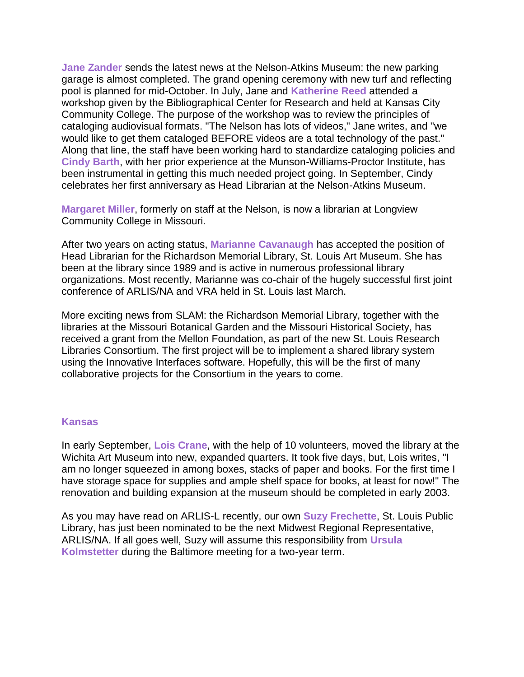**Jane Zander** sends the latest news at the Nelson-Atkins Museum: the new parking garage is almost completed. The grand opening ceremony with new turf and reflecting pool is planned for mid-October. In July, Jane and **Katherine Reed** attended a workshop given by the Bibliographical Center for Research and held at Kansas City Community College. The purpose of the workshop was to review the principles of cataloging audiovisual formats. "The Nelson has lots of videos," Jane writes, and "we would like to get them cataloged BEFORE videos are a total technology of the past." Along that line, the staff have been working hard to standardize cataloging policies and **Cindy Barth**, with her prior experience at the Munson-Williams-Proctor Institute, has been instrumental in getting this much needed project going. In September, Cindy celebrates her first anniversary as Head Librarian at the Nelson-Atkins Museum.

**Margaret Miller**, formerly on staff at the Nelson, is now a librarian at Longview Community College in Missouri.

After two years on acting status, **Marianne Cavanaugh** has accepted the position of Head Librarian for the Richardson Memorial Library, St. Louis Art Museum. She has been at the library since 1989 and is active in numerous professional library organizations. Most recently, Marianne was co-chair of the hugely successful first joint conference of ARLIS/NA and VRA held in St. Louis last March.

More exciting news from SLAM: the Richardson Memorial Library, together with the libraries at the Missouri Botanical Garden and the Missouri Historical Society, has received a grant from the Mellon Foundation, as part of the new St. Louis Research Libraries Consortium. The first project will be to implement a shared library system using the Innovative Interfaces software. Hopefully, this will be the first of many collaborative projects for the Consortium in the years to come.

#### **Kansas**

In early September, **Lois Crane**, with the help of 10 volunteers, moved the library at the Wichita Art Museum into new, expanded quarters. It took five days, but, Lois writes, "I am no longer squeezed in among boxes, stacks of paper and books. For the first time I have storage space for supplies and ample shelf space for books, at least for now!" The renovation and building expansion at the museum should be completed in early 2003.

As you may have read on ARLIS-L recently, our own **Suzy Frechette**, St. Louis Public Library, has just been nominated to be the next Midwest Regional Representative, ARLIS/NA. If all goes well, Suzy will assume this responsibility from **Ursula Kolmstetter** during the Baltimore meeting for a two-year term.